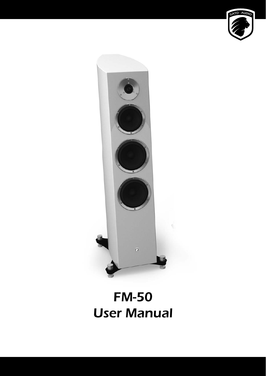



# FM-50 User Manual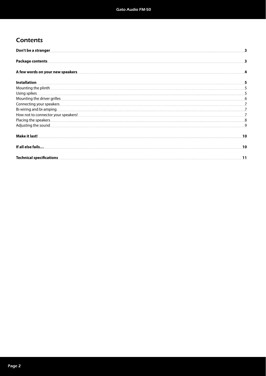## **Contents**

| Don't be a stranger                                                                                                                                                                                                                  |    |
|--------------------------------------------------------------------------------------------------------------------------------------------------------------------------------------------------------------------------------------|----|
| <b>Package contents</b>                                                                                                                                                                                                              |    |
| A few words on your new speakers                                                                                                                                                                                                     |    |
| <b>Installation</b>                                                                                                                                                                                                                  |    |
|                                                                                                                                                                                                                                      |    |
| Using spikes                                                                                                                                                                                                                         |    |
| Mounting the driver grilles <b>contract to the contract of the contract of the contract of the contract of the contract of the contract of the contract of the contract of the contract of the contract of the contract of the c</b> | 6  |
| Connecting your speakers <b>construction of the construction of the construction</b> of the construction of the construction of the construction of the construction of the construction of the construction of the construction of  |    |
| Bi-wiring and bi-amping                                                                                                                                                                                                              |    |
|                                                                                                                                                                                                                                      |    |
| Placing the speakers <b>contract the speakers</b> and a series of the speakers and a series of the speakers and a series of the speakers and a series of the speakers and a series of the speakers and a series of the speakers and  |    |
| Adjusting the sound <b>contract of the sound of the sound of the sound of the sound of the sound of the sound of the sound of the sound of the sound of the sound of the sound of the sound of the sound of the sound of the sou</b> | 9  |
| <b>Make it last!</b>                                                                                                                                                                                                                 | 10 |
| If all else fails                                                                                                                                                                                                                    | 10 |
| Technical specifications <b>contract on the contract of the contract of the contract of the contract of the contract of the contract of the contract of the contract of the contract of the contract of the contract of the cont</b> | 11 |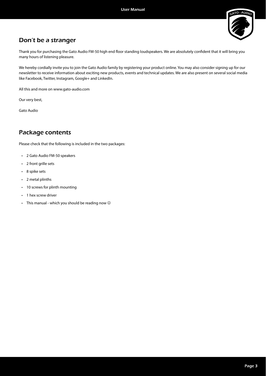

## Don't be a stranger

Thank you for purchasing the Gato Audio FM-50 high end floor standing loudspeakers. We are absolutely confident that it will bring you many hours of listening pleasure.

We hereby cordially invite you to join the Gato Audio family by registering your product online. You may also consider signing up for our newsletter to receive information about exciting new products, events and technical updates. We are also present on several social media like Facebook, Twitter, Instagram, Google+ and LinkedIn.

All this and more on www.gato-audio.com

Our very best,

Gato Audio

## Package contents

Please check that the following is included in the two packages:

- 2 Gato Audio FM-50 speakers
- 2 front grille sets
- 8 spike sets
- 2 metal plinths
- 10 screws for plinth mounting
- 1 hex screw driver
- This manual which you should be reading now  $\odot$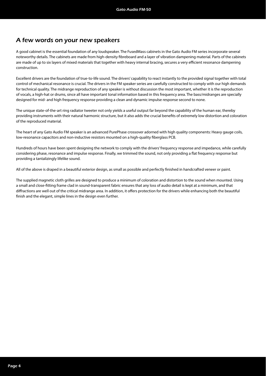## A few words on your new speakers

A good cabinet is the essential foundation of any loudspeaker. The FusedMass cabinets in the Gato Audio FM series incorporate several noteworthy details. The cabinets are made from high-density fibreboard and a layer of vibration dampening material. Parts of the cabinets are made of up to six layers of mixed materials that together with heavy internal bracing, secures a very efficient resonance dampening construction.

Excellent drivers are the foundation of true-to-life sound. The drivers' capability to react instantly to the provided signal together with total control of mechanical resonance is crucial. The drivers in the FM speaker series are carefully constructed to comply with our high demands for technical quality. The midrange reproduction of any speaker is without discussion the most important, whether it is the reproduction of vocals, a high-hat or drums, since all have important tonal information based in this frequency area. The bass/midranges are specially designed for mid- and high frequency response providing a clean and dynamic impulse response second to none.

The unique state-of-the-art ring radiator tweeter not only yields a useful output far beyond the capability of the human ear, thereby providing instruments with their natural harmonic structure, but it also adds the crucial benefits of extremely low distortion and coloration of the reproduced material.

The heart of any Gato Audio FM speaker is an advanced PurePhase crossover adorned with high quality components: Heavy gauge coils, low-resonance capacitors and non-inductive resistors mounted on a high-quality fiberglass PCB.

Hundreds of hours have been spent designing the network to comply with the drivers' frequency response and impedance, while carefully considering phase, resonance and impulse response. Finally, we trimmed the sound, not only providing a flat frequency response but providing a tantalizingly lifelike sound.

All of the above is draped in a beautiful exterior design, as small as possible and perfectly finished in handcrafted veneer or paint.

The supplied magnetic cloth grilles are designed to produce a minimum of coloration and distortion to the sound when mounted. Using a small and close-fi tting frame clad in sound-transparent fabric ensures that any loss of audio detail is kept at a minimum, and that diffractions are well out of the critical midrange area. In addition, it offers protection for the drivers while enhancing both the beautiful finish and the elegant, simple lines in the design even further.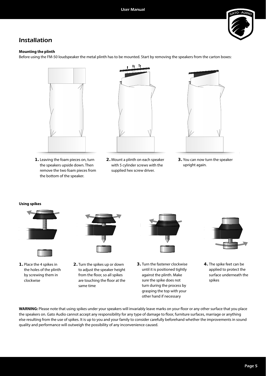

## Installation

#### **Mounting the plinth**

Before using the FM-50 loudspeaker the metal plinth has to be mounted. Start by removing the speakers from the carton boxes:



**1.** Leaving the foam pieces on, turn the speakers upside down. Then remove the two foam pieces from the bottom of the speaker.



**2.** Mount a plinth on each speaker with 5 cylinder screws with the supplied hex screw driver.



**3.** You can now turn the speaker upright again.

#### **Using spikes**





**1.** Place the 4 spikes in the holes of the plinth by screwing them in clockwise



**2.** Turn the spikes up or down to adjust the speaker height from the floor, so all spikes are touching the floor at the same time



**3.** Turn the fastener clockwise until it is positioned tightly against the plinth. Make sure the spike does not turn during the process by grasping the top with your other hand if necessary



**4.** The spike feet can be applied to protect the surface underneath the spikes

WARNING: Please note that using spikes under your speakers will invariably leave marks on your floor or any other surface that you place the speakers on. Gato Audio cannot accept any responsibility for any type of damage to floor, furniture surfaces, marriage or anything else resulting from the use of spikes. It is up to you and your family to consider carefully beforehand whether the improvements in sound quality and performance will outweigh the possibility of any inconvenience caused.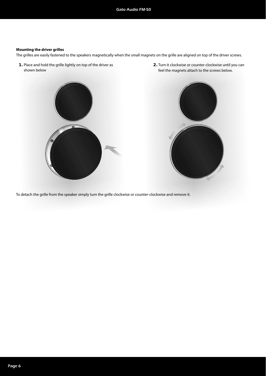#### **Mounting the driver grilles**

The grilles are easily fastened to the speakers magnetically when the small magnets on the grille are aligned on top of the driver screws.

**1.** Place and hold the grille lightly on top of the driver as shown below

**2.** Turn it clockwise or counter-clockwise until you can feel the magnets attach to the screws below.





To detach the grille from the speaker simply turn the grille clockwise or counter-clockwise and remove it.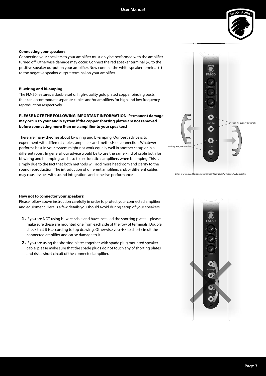

#### **Connecting your speakers**

Connecting your speakers to your amplifier must only be performed with the amplifier turned off. Otherwise damage may occur. Connect the red speaker terminal (+) to the positive speaker output on your amplifier. Now connect the white speaker terminal (-) to the negative speaker output terminal on your amplifier.

#### **Bi-wiring and bi-amping**

The FM-50 features a double set of high-quality gold plated copper binding posts that can accommodate separate cables and/or amplifiers for high and low frequency reproduction respectively.

#### **PLEASE NOTE THE FOLLOWING IMPORTANT INFORMATION: Permanent damage may occur to your audio system if the copper shorting plates are not removed**  before connecting more than one amplifier to your speakers!

There are many theories about bi-wiring and bi-amping. Our best advice is to experiment with different cables, amplifiers and methods of connection. Whatever performs best in your system might not work equally well in another setup or in a different room. In general, our advice would be to use the same kind of cable both for bi-wiring and bi-amping, and also to use identical amplifiers when bi-amping. This is simply due to the fact that both methods will add more headroom and clarity to the sound reproduction. The introduction of different amplifiers and/or different cables may cause issues with sound integration and cohesive performance.



en bi-wiring and bi-amping; remember to remove the copper shorting pl

#### **How not to connector your speakers!**

Please follow above instruction carefully in order to protect your connected amplifier and equipment. Here is a few details you should avoid during setup of your speakers:

- **1.** If you are NOT using bi-wire cable and have installed the shorting plates please make sure these are mounted one from each side of the row of terminals. Double check that it is according to top drawing. Otherwise you risk to short circuit the connected amplifier and cause damage to it.
- **2.** If you are using the shorting plates together with spade plug mounted speaker cable, please make sure that the spade plugs do not touch any of shorting plates and risk a short circuit of the connected amplifier.

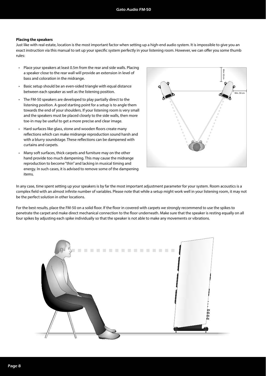#### **Placing the speakers**

Just like with real estate, location is the most important factor when setting up a high-end audio system. It is impossible to give you an exact instruction via this manual to set up your specific system perfectly in your listening room. However, we can offer you some thumb rules:

- Place your speakers at least 0.5m from the rear and side walls. Placing a speaker close to the rear wall will provide an extension in level of bass and coloration in the midrange.
- Basic setup should be an even-sided triangle with equal distance between each speaker as well as the listening position.
- The FM-50 speakers are developed to play partially direct to the listening position. A good starting point for a setup is to angle them towards the end of your shoulders. If your listening room is very small and the speakers must be placed closely to the side walls, then more toe-in may be useful to get a more precise and clear image.
- Hard surfaces like glass, stone and wooden floors create many reflections which can make midrange reproduction sound harsh and with a blurry soundstage. These reflections can be dampened with curtains and carpets.
- Many soft surfaces, thick carpets and furniture may on the other hand provide too much dampening. This may cause the midrange reproduction to become "thin" and lacking in musical timing and energy. In such cases, it is advised to remove some of the dampening items.



In any case, time spent setting up your speakers is by far the most important adjustment parameter for your system. Room acoustics is a complex field with an almost infinite number of variables. Please note that while a setup might work well in your listening room, it may not be the perfect solution in other locations.

For the best results, place the FM-50 on a solid floor. If the floor in covered with carpets we strongly recommend to use the spikes to penetrate the carpet and make direct mechanical connection to the floor underneath. Make sure that the speaker is resting equally on all four spikes by adjusting each spike individually so that the speaker is not able to make any movements or vibrations.

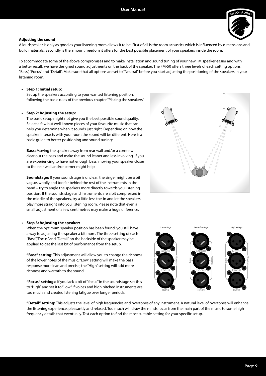

#### **Adjusting the sound**

A loudspeaker is only as good as your listening room allows it to be. First of all is the room acoustics which is influenced by dimensions and build materials. Secondly is the amount freedom it offers for the best possible placement of your speakers inside the room.

To accommodate some of the above compromises and to make installation and sound tuning of your new FM speaker easier and with a better result, we have designed sound adjustments on the back of the speaker. The FM-50 offers three levels of each setting options; "Bass", "Focus" and "Detail". Make sure that all options are set to "Neutral" before you start adjusting the positioning of the speakers in your listening room.

#### **• Step 1: Initial setup:**

Set up the speakers according to your wanted listening position, following the basic rules of the previous chapter "Placing the speakers".

#### **• Step 2: Adjusting the setup:**

The basic setup might not give you the best possible sound quality. Select a few but well known pieces of your favourite music that can help you determine when it sounds just right. Depending on how the speaker interacts with your room the sound will be different. Here is a basic guide to better positioning and sound tuning:

**Bass:** Moving the speaker away from rear wall and/or a corner will clear out the bass and make the sound leaner and less involving. If you are experiencing to have not enough bass, moving your speaker closer to the rear wall and/or corner might help.

**Soundstage:** If your soundstage is unclear, the singer might be a bit vague, woolly and too far behind the rest of the instruments in the band – try to angle the speakers more directly towards you listening position. If the sounds stage and instruments are a bit compressed in the middle of the speakers, try a little less toe-in and let the speakers play more straight into you listening room. Please note that even a small adjustment of a few centimetres may make a huge difference.

#### **• Step 3: Adjusting the speaker:**

When the optimum speaker position has been found, you still have a way to adjusting the speaker a bit more. The three setting of each "Bass","Focus" and "Detail" on the backside of the speaker may be applied to get the last bit of performance from the setup.

**"Bass" setting:** This adjustment will allow you to change the richness of the lower notes of the music. "Low" setting will make the bass response more lean and precise, the "High" setting will add more richness and warmth to the sound.

**"Focus" settings:** If you lack a bit of "focus" in the soundstage set this to "High" and set it to "Low" if voices and high pitched instruments are too much and creates listening fatigue over longer periods.





**"Detail" setting:** This adjusts the level of high frequencies and overtones of any instrument. A natural level of overtones will enhance the listening experience, pleasantly and relaxed. Too much will draw the minds focus from the main part of the music to some high frequency details that eventually. Test each option to find the most suitable setting for your specific setup.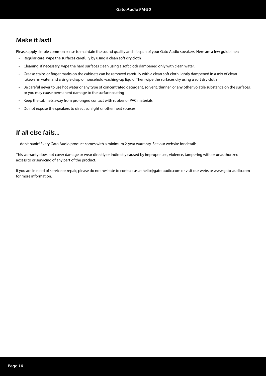## Make it last!

Please apply simple common sense to maintain the sound quality and lifespan of your Gato Audio speakers. Here are a few guidelines:

- Regular care: wipe the surfaces carefully by using a clean soft dry cloth
- Cleaning: if necessary, wipe the hard surfaces clean using a soft cloth dampened only with clean water.
- Grease stains or finger marks on the cabinets can be removed carefully with a clean soft cloth lightly dampened in a mix of clean lukewarm water and a single drop of household washing-up liquid. Then wipe the surfaces dry using a soft dry cloth
- Be careful never to use hot water or any type of concentrated detergent, solvent, thinner, or any other volatile substance on the surfaces, or you may cause permanent damage to the surface coating
- Keep the cabinets away from prolonged contact with rubber or PVC materials
- Do not expose the speakers to direct sunlight or other heat sources

### If all else fails…

…don't panic! Every Gato Audio product comes with a minimum 2-year warranty. See our website for details.

This warranty does not cover damage or wear directly or indirectly caused by improper use, violence, tampering with or unauthorized access to or servicing of any part of the product.

If you are in need of service or repair, please do not hesitate to contact us at hello@gato-audio.com or visit our website www.gato-audio.com for more information.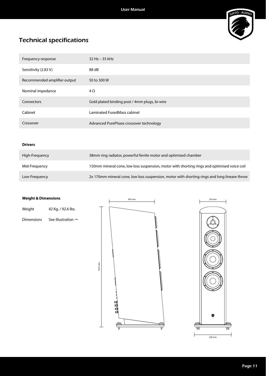

## Technical specifications

| Frequency response           | $32$ Hz $-$ 35 kHz                            |
|------------------------------|-----------------------------------------------|
| Sensitivity (2.83 V)         | 88 dB                                         |
| Recommended amplifier output | 50 to 300 W                                   |
| Nominal impedance            | $4\Omega$                                     |
| Connectors                   | Gold plated binding post / 4mm plugs, bi-wire |
| Cabinet                      | Laminated FusedMass cabinet                   |
| Crossover                    | Advanced PurePhase crossover technology       |

#### **Drivers**

| High-Freguency | 38mm ring radiator, powerful ferrite motor and optimised chamber                             |
|----------------|----------------------------------------------------------------------------------------------|
| Mid-Freguency  | 150mm mineral cone, low loss suspension, motor with shorting rings and optimised voice coil  |
| Low-Frequency  | 2x 170mm mineral cone, low loss suspension, motor with shorting rings and long lineare throw |

#### **Weight & Dimensions**

| Weight | 42 Kg. / 92.6 lbs. |
|--------|--------------------|
|        |                    |

Dimensions See illustration  $\rightarrow$